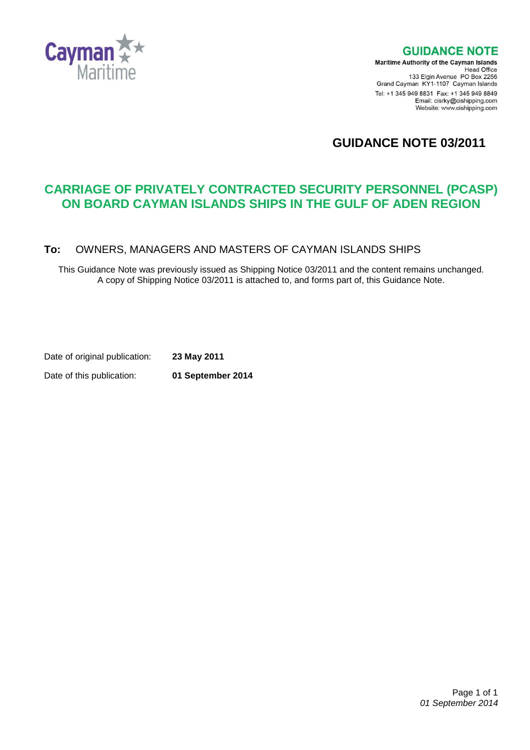

**GUIDANCE NOTE** 

Maritime Authority of the Cayman Islands Head Office<br>Head Office<br>133 Elgin Avenue PO Box 2256 Grand Cayman KY1-1107 Cayman Islands Tel: +1 345 949 8831 Fax: +1 345 949 8849 Email: cisrky@cishipping.com Website: www.cishipping.com

# **GUIDANCE NOTE 03/2011**

# **CARRIAGE OF PRIVATELY CONTRACTED SECURITY PERSONNEL (PCASP) ON BOARD CAYMAN ISLANDS SHIPS IN THE GULF OF ADEN REGION**

#### **To:** OWNERS, MANAGERS AND MASTERS OF CAYMAN ISLANDS SHIPS

This Guidance Note was previously issued as Shipping Notice 03/2011 and the content remains unchanged. A copy of Shipping Notice 03/2011 is attached to, and forms part of, this Guidance Note.

Date of original publication: **23 May 2011**

Date of this publication: **01 September 2014**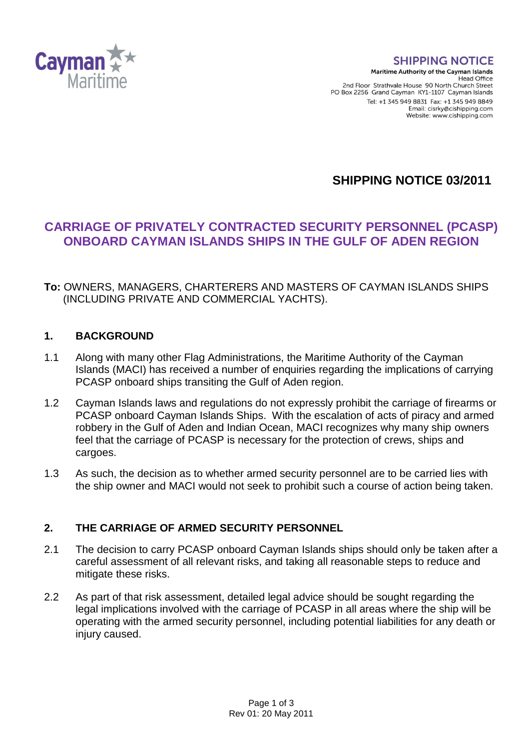

#### **SHIPPING NOTICE**

Maritime Authority of the Cayman Islands Head Office 2nd Floor Strathvale House 90 North Church Street PO Box 2256 Grand Cayman KY1-1107 Cayman Islands Tel: +1 345 949 8831 Fax: +1 345 949 8849 Email: cisrky@cishinning.com Website: www.cishipping.com

**SHIPPING NOTICE 03/2011**

# **CARRIAGE OF PRIVATELY CONTRACTED SECURITY PERSONNEL (PCASP) ONBOARD CAYMAN ISLANDS SHIPS IN THE GULF OF ADEN REGION**

## **To:** OWNERS, MANAGERS, CHARTERERS AND MASTERS OF CAYMAN ISLANDS SHIPS (INCLUDING PRIVATE AND COMMERCIAL YACHTS).

### **1. BACKGROUND**

- 1.1 Along with many other Flag Administrations, the Maritime Authority of the Cayman Islands (MACI) has received a number of enquiries regarding the implications of carrying PCASP onboard ships transiting the Gulf of Aden region.
- 1.2 Cayman Islands laws and regulations do not expressly prohibit the carriage of firearms or PCASP onboard Cayman Islands Ships. With the escalation of acts of piracy and armed robbery in the Gulf of Aden and Indian Ocean, MACI recognizes why many ship owners feel that the carriage of PCASP is necessary for the protection of crews, ships and cargoes.
- 1.3 As such, the decision as to whether armed security personnel are to be carried lies with the ship owner and MACI would not seek to prohibit such a course of action being taken.

# **2. THE CARRIAGE OF ARMED SECURITY PERSONNEL**

- 2.1 The decision to carry PCASP onboard Cayman Islands ships should only be taken after a careful assessment of all relevant risks, and taking all reasonable steps to reduce and mitigate these risks.
- 2.2 As part of that risk assessment, detailed legal advice should be sought regarding the legal implications involved with the carriage of PCASP in all areas where the ship will be operating with the armed security personnel, including potential liabilities for any death or injury caused.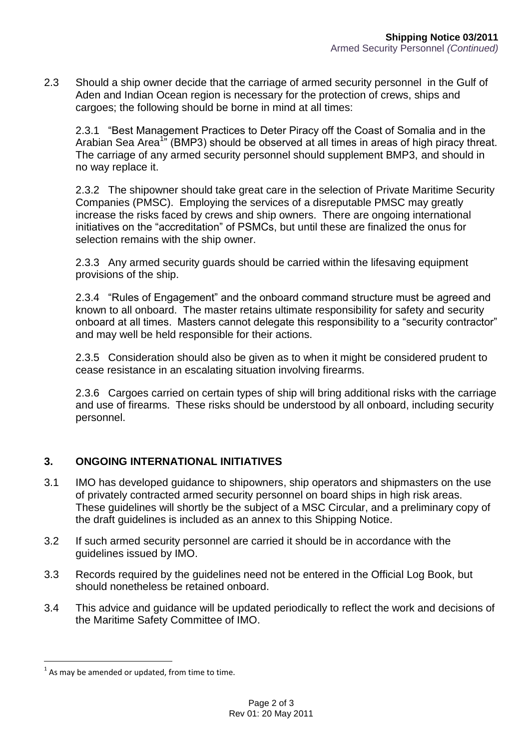2.3 Should a ship owner decide that the carriage of armed security personnel in the Gulf of Aden and Indian Ocean region is necessary for the protection of crews, ships and cargoes; the following should be borne in mind at all times:

2.3.1 "Best Management Practices to Deter Piracy off the Coast of Somalia and in the Arabian Sea Area<sup>1</sup>" (BMP3) should be observed at all times in areas of high piracy threat. The carriage of any armed security personnel should supplement BMP3, and should in no way replace it.

2.3.2 The shipowner should take great care in the selection of Private Maritime Security Companies (PMSC). Employing the services of a disreputable PMSC may greatly increase the risks faced by crews and ship owners. There are ongoing international initiatives on the "accreditation" of PSMCs, but until these are finalized the onus for selection remains with the ship owner.

2.3.3 Any armed security guards should be carried within the lifesaving equipment provisions of the ship.

2.3.4 "Rules of Engagement" and the onboard command structure must be agreed and known to all onboard. The master retains ultimate responsibility for safety and security onboard at all times. Masters cannot delegate this responsibility to a "security contractor" and may well be held responsible for their actions.

2.3.5 Consideration should also be given as to when it might be considered prudent to cease resistance in an escalating situation involving firearms.

2.3.6 Cargoes carried on certain types of ship will bring additional risks with the carriage and use of firearms. These risks should be understood by all onboard, including security personnel.

# **3. ONGOING INTERNATIONAL INITIATIVES**

- 3.1 IMO has developed guidance to shipowners, ship operators and shipmasters on the use of privately contracted armed security personnel on board ships in high risk areas. These guidelines will shortly be the subject of a MSC Circular, and a preliminary copy of the draft guidelines is included as an annex to this Shipping Notice.
- 3.2 If such armed security personnel are carried it should be in accordance with the guidelines issued by IMO.
- 3.3 Records required by the guidelines need not be entered in the Official Log Book, but should nonetheless be retained onboard.
- 3.4 This advice and guidance will be updated periodically to reflect the work and decisions of the Maritime Safety Committee of IMO.

÷.

 $<sup>1</sup>$  As may be amended or updated, from time to time.</sup>